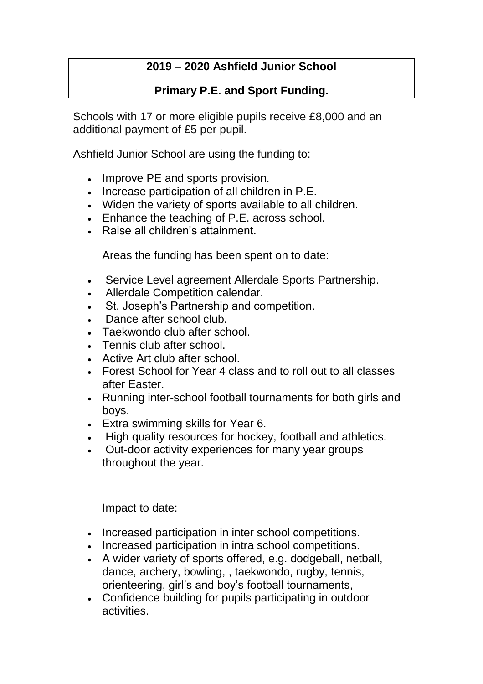## **2019 – 2020 Ashfield Junior School**

## **Primary P.E. and Sport Funding.**

Schools with 17 or more eligible pupils receive £8,000 and an additional payment of £5 per pupil.

Ashfield Junior School are using the funding to:

- Improve PE and sports provision.
- Increase participation of all children in P.E.
- Widen the variety of sports available to all children.
- Enhance the teaching of P.E. across school.
- Raise all children's attainment.

Areas the funding has been spent on to date:

- Service Level agreement Allerdale Sports Partnership.
- Allerdale Competition calendar.
- St. Joseph's Partnership and competition.
- Dance after school club.
- Taekwondo club after school.
- Tennis club after school.
- Active Art club after school.
- Forest School for Year 4 class and to roll out to all classes after Easter.
- Running inter-school football tournaments for both girls and boys.
- Extra swimming skills for Year 6.
- High quality resources for hockey, football and athletics.
- Out-door activity experiences for many year groups throughout the year.

Impact to date:

- Increased participation in inter school competitions.
- Increased participation in intra school competitions.
- A wider variety of sports offered, e.g. dodgeball, netball, dance, archery, bowling, , taekwondo, rugby, tennis, orienteering, girl's and boy's football tournaments,
- Confidence building for pupils participating in outdoor activities.